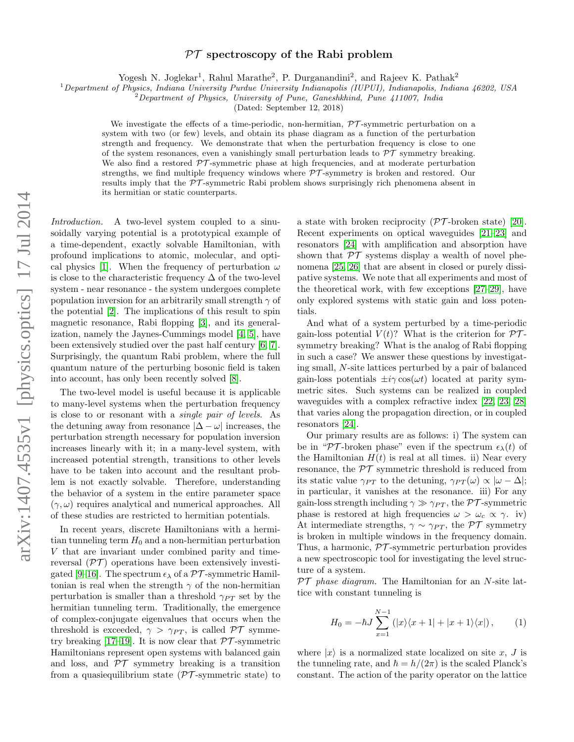## arXiv:1407.4535v1 [physics.optics] 17 Jul 2014 arXiv:1407.4535v1 [physics.optics] 17 Jul 2014

## $PT$  spectroscopy of the Rabi problem

Yogesh N. Joglekar<sup>1</sup>, Rahul Marathe<sup>2</sup>, P. Durganandini<sup>2</sup>, and Rajeev K. Pathak<sup>2</sup>

<sup>1</sup>Department of Physics, Indiana University Purdue University Indianapolis (IUPUI), Indianapolis, Indiana 46202, USA

 $2$ Department of Physics, University of Pune, Ganeshkhind, Pune 411007, India

(Dated: September 12, 2018)

We investigate the effects of a time-periodic, non-hermitian,  $\mathcal{P}\mathcal{T}$ -symmetric perturbation on a system with two (or few) levels, and obtain its phase diagram as a function of the perturbation strength and frequency. We demonstrate that when the perturbation frequency is close to one of the system resonances, even a vanishingly small perturbation leads to  $\mathcal{PT}$  symmetry breaking. We also find a restored  $\mathcal{PT}$ -symmetric phase at high frequencies, and at moderate perturbation strengths, we find multiple frequency windows where PT -symmetry is broken and restored. Our results imply that the  $\mathcal{PT}$ -symmetric Rabi problem shows surprisingly rich phenomena absent in its hermitian or static counterparts.

Introduction. A two-level system coupled to a sinusoidally varying potential is a prototypical example of a time-dependent, exactly solvable Hamiltonian, with profound implications to atomic, molecular, and opti-cal physics [\[1\]](#page-3-0). When the frequency of perturbation  $\omega$ is close to the characteristic frequency  $\Delta$  of the two-level system - near resonance - the system undergoes complete population inversion for an arbitrarily small strength  $\gamma$  of the potential [\[2\]](#page-3-1). The implications of this result to spin magnetic resonance, Rabi flopping [\[3\]](#page-3-2), and its generalization, namely the Jaynes-Cummings model [\[4,](#page-3-3) [5\]](#page-3-4), have been extensively studied over the past half century [\[6,](#page-3-5) [7\]](#page-3-6). Surprisingly, the quantum Rabi problem, where the full quantum nature of the perturbing bosonic field is taken into account, has only been recently solved [\[8\]](#page-3-7).

The two-level model is useful because it is applicable to many-level systems when the perturbation frequency is close to or resonant with a single pair of levels. As the detuning away from resonance  $|\Delta - \omega|$  increases, the perturbation strength necessary for population inversion increases linearly with it; in a many-level system, with increased potential strength, transitions to other levels have to be taken into account and the resultant problem is not exactly solvable. Therefore, understanding the behavior of a system in the entire parameter space  $(\gamma,\omega)$  requires analytical and numerical approaches. All of these studies are restricted to hermitian potentials.

In recent years, discrete Hamiltonians with a hermitian tunneling term  $H_0$  and a non-hermitian perturbation V that are invariant under combined parity and timereversal  $(\mathcal{PT})$  operations have been extensively investi-gated [\[9–](#page-3-8)[16\]](#page-3-9). The spectrum  $\epsilon_{\lambda}$  of a  $\mathcal{PT}$ -symmetric Hamiltonian is real when the strength  $\gamma$  of the non-hermitian perturbation is smaller than a threshold  $\gamma_{PT}$  set by the hermitian tunneling term. Traditionally, the emergence of complex-conjugate eigenvalues that occurs when the threshold is exceeded,  $\gamma > \gamma_{PT}$ , is called  $\mathcal{PT}$  symme-try breaking [\[17–](#page-3-10)[19\]](#page-3-11). It is now clear that  $\mathcal{PT}$ -symmetric Hamiltonians represent open systems with balanced gain and loss, and  $\mathcal{PT}$  symmetry breaking is a transition from a quasiequilibrium state  $(\mathcal{PT}\text{-symmetric state})$  to

a state with broken reciprocity  $(\mathcal{PT}\text{-}\mathrm{broken\ state})$  [\[20\]](#page-3-12). Recent experiments on optical waveguides [\[21–](#page-3-13)[23\]](#page-3-14) and resonators [\[24\]](#page-3-15) with amplification and absorption have shown that  $\mathcal{PT}$  systems display a wealth of novel phenomena [\[25,](#page-3-16) [26\]](#page-3-17) that are absent in closed or purely dissipative systems. We note that all experiments and most of the theoretical work, with few exceptions [\[27–](#page-3-18)[29\]](#page-4-0), have only explored systems with static gain and loss potentials.

And what of a system perturbed by a time-periodic gain-loss potential  $V(t)$ ? What is the criterion for  $\mathcal{PT}$ symmetry breaking? What is the analog of Rabi flopping in such a case? We answer these questions by investigating small, N-site lattices perturbed by a pair of balanced gain-loss potentials  $\pm i\gamma \cos(\omega t)$  located at parity symmetric sites. Such systems can be realized in coupled waveguides with a complex refractive index [\[22,](#page-3-19) [23,](#page-3-14) [28\]](#page-3-20) that varies along the propagation direction, or in coupled resonators [\[24\]](#page-3-15).

Our primary results are as follows: i) The system can be in "PT-broken phase" even if the spectrum  $\epsilon_{\lambda}(t)$  of the Hamiltonian  $H(t)$  is real at all times. ii) Near every resonance, the  $\mathcal{PT}$  symmetric threshold is reduced from its static value  $\gamma_{PT}$  to the detuning,  $\gamma_{PT}(\omega) \propto |\omega - \Delta|$ ; in particular, it vanishes at the resonance. iii) For any gain-loss strength including  $\gamma \gg \gamma_{PT}$ , the PT-symmetric phase is restored at high frequencies  $\omega > \omega_c \propto \gamma$ . iv) At intermediate strengths,  $\gamma \sim \gamma_{PT}$ , the PT symmetry is broken in multiple windows in the frequency domain. Thus, a harmonic,  $\mathcal{PT}$ -symmetric perturbation provides a new spectroscopic tool for investigating the level structure of a system.

 $PT$  phase diagram. The Hamiltonian for an N-site lattice with constant tunneling is

$$
H_0 = -\hbar J \sum_{x=1}^{N-1} (|x\rangle\langle x+1| + |x+1\rangle\langle x|), \qquad (1)
$$

where  $|x\rangle$  is a normalized state localized on site x, J is the tunneling rate, and  $\hbar = h/(2\pi)$  is the scaled Planck's constant. The action of the parity operator on the lattice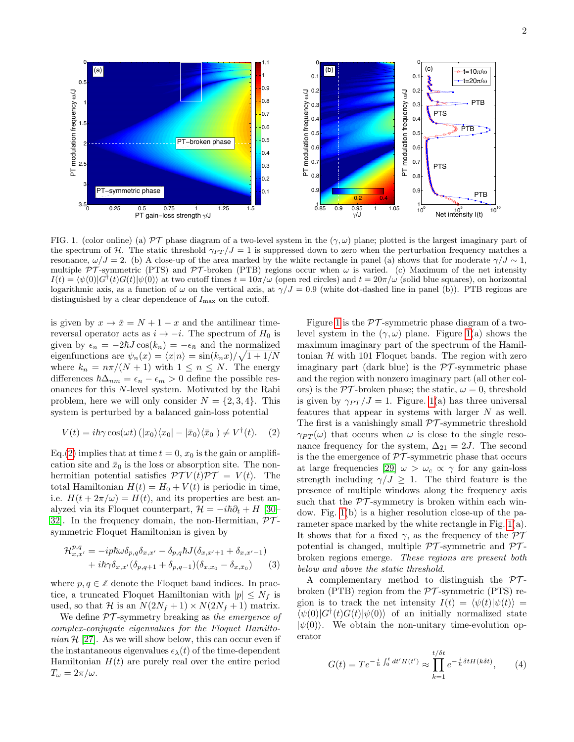

<span id="page-1-1"></span>FIG. 1. (color online) (a) PT phase diagram of a two-level system in the  $(\gamma,\omega)$  plane; plotted is the largest imaginary part of the spectrum of H. The static threshold  $\gamma_{PT}/J = 1$  is suppressed down to zero when the perturbation frequency matches a resonance,  $\omega/J = 2$ . (b) A close-up of the area marked by the white rectangle in panel (a) shows that for moderate  $\gamma/J \sim 1$ , multiple PT-symmetric (PTS) and PT-broken (PTB) regions occur when  $\omega$  is varied. (c) Maximum of the net intensity  $I(t) = \langle \psi(0) | G^{\dagger}(t)G(t) | \psi(0) \rangle$  at two cutoff times  $t = 10\pi/\omega$  (open red circles) and  $t = 20\pi/\omega$  (solid blue squares), on horizontal logarithmic axis, as a function of  $\omega$  on the vertical axis, at  $\gamma/J = 0.9$  (white dot-dashed line in panel (b)). PTB regions are distinguished by a clear dependence of  $I_{\text{max}}$  on the cutoff.

is given by  $x \to \bar{x} = N + 1 - x$  and the antilinear timereversal operator acts as  $i \rightarrow -i$ . The spectrum of  $H_0$  is given by  $\epsilon_n = -2\hbar J \cos(k_n) = -\epsilon_{\bar{n}}$  and the normalized eigenfunctions are  $\psi_n(x) = \langle x|n \rangle = \frac{\sin(k_n x)}{\sqrt{1 + 1/N}}$ where  $k_n = n\pi/(N+1)$  with  $1 \leq n \leq N$ . The energy differences  $\hbar \Delta_{nm} = \epsilon_n - \epsilon_m > 0$  define the possible resonances for this N-level system. Motivated by the Rabi problem, here we will only consider  $N = \{2, 3, 4\}$ . This system is perturbed by a balanced gain-loss potential

<span id="page-1-0"></span>
$$
V(t) = i\hbar \gamma \cos(\omega t) (|x_0\rangle\langle x_0| - |\bar{x}_0\rangle\langle \bar{x}_0|) \neq V^{\dagger}(t). \quad (2)
$$

Eq.[\(2\)](#page-1-0) implies that at time  $t = 0$ ,  $x_0$  is the gain or amplification site and  $\bar{x}_0$  is the loss or absorption site. The nonhermitian potential satisfies  $\mathcal{PT} V(t) \mathcal{PT} = V(t)$ . The total Hamiltonian  $H(t) = H_0 + V(t)$  is periodic in time, i.e.  $H(t + 2\pi/\omega) = H(t)$ , and its properties are best analyzed via its Floquet counterpart,  $\mathcal{H} = -i\hbar\partial_t + H$  [\[30–](#page-4-1) 32. In the frequency domain, the non-Hermitian,  $\mathcal{PT}$ symmetric Floquet Hamiltonian is given by

$$
\mathcal{H}_{x,x'}^{p,q} = -ip\hbar\omega\delta_{p,q}\delta_{x,x'} - \delta_{p,q}\hbar J(\delta_{x,x'+1} + \delta_{x,x'-1}) + i\hbar\gamma\delta_{x,x'}(\delta_{p,q+1} + \delta_{p,q-1})(\delta_{x,x_0} - \delta_{x,\bar{x}_0})
$$
(3)

where  $p, q \in \mathbb{Z}$  denote the Floquet band indices. In practice, a truncated Floquet Hamiltonian with  $|p| \leq N_f$  is used, so that H is an  $N(2N_f + 1) \times N(2N_f + 1)$  matrix.

We define  $PT$ -symmetry breaking as the emergence of complex-conjugate eigenvalues for the Floquet Hamilto $nian \mathcal{H}$  [\[27\]](#page-3-18). As we will show below, this can occur even if the instantaneous eigenvalues  $\epsilon_{\lambda}(t)$  of the time-dependent Hamiltonian  $H(t)$  are purely real over the entire period  $T_\omega = 2\pi/\omega.$ 

Figure [1](#page-1-1) is the  $\mathcal{PT}$ -symmetric phase diagram of a twolevel system in the  $(\gamma,\omega)$  plane. Figure [1\(](#page-1-1)a) shows the maximum imaginary part of the spectrum of the Hamiltonian  $H$  with 101 Floquet bands. The region with zero imaginary part (dark blue) is the  $\mathcal{PT}$ -symmetric phase and the region with nonzero imaginary part (all other colors) is the  $\mathcal{PT}$ -broken phase; the static,  $\omega = 0$ , threshold is given by  $\gamma_{PT}/J = 1$ . Figure. [1\(](#page-1-1)a) has three universal features that appear in systems with larger N as well. The first is a vanishingly small  $\mathcal{PT}$ -symmetric threshold  $\gamma_{PT}(\omega)$  that occurs when  $\omega$  is close to the single resonance frequency for the system,  $\Delta_{21} = 2J$ . The second is the the emergence of  $\mathcal{PT}$ -symmetric phase that occurs at large frequencies [\[29\]](#page-4-0)  $\omega > \omega_c \propto \gamma$  for any gain-loss strength including  $\gamma / J \geq 1$ . The third feature is the presence of multiple windows along the frequency axis such that the  $\mathcal{PT}$ -symmetry is broken within each window. Fig. [1\(](#page-1-1)b) is a higher resolution close-up of the parameter space marked by the white rectangle in Fig. [1\(](#page-1-1)a). It shows that for a fixed  $\gamma$ , as the frequency of the  $\mathcal{PT}$ potential is changed, multiple  $\mathcal{PT}$ -symmetric and  $\mathcal{PT}$ broken regions emerge. These regions are present both below and above the static threshold.

A complementary method to distinguish the  $PT$ broken (PTB) region from the  $\mathcal{PT}$ -symmetric (PTS) region is to track the net intensity  $I(t) = \langle \psi(t)|\psi(t)\rangle =$  $\langle \psi(0) | G^{\dagger}(t) G(t) | \psi(0) \rangle$  of an initially normalized state  $|\psi(0)\rangle$ . We obtain the non-unitary time-evolution operator

$$
G(t) = Te^{-\frac{i}{\hbar} \int_0^t dt' H(t')} \approx \prod_{k=1}^{t/\delta t} e^{-\frac{i}{\hbar} \delta t H(k\delta t)},\qquad(4)
$$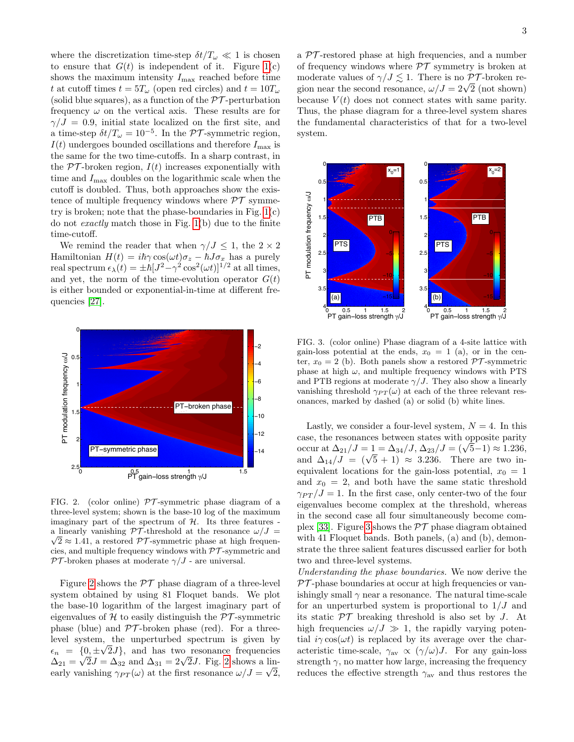where the discretization time-step  $\delta t/T_{\omega} \ll 1$  is chosen to ensure that  $G(t)$  is independent of it. Figure [1\(](#page-1-1)c) shows the maximum intensity  $I_{\text{max}}$  reached before time t at cutoff times  $t = 5T_{\omega}$  (open red circles) and  $t = 10T_{\omega}$ (solid blue squares), as a function of the  $\mathcal{PT}$ -perturbation frequency  $\omega$  on the vertical axis. These results are for  $\gamma/J = 0.9$ , initial state localized on the first site, and a time-step  $\delta t/T_\omega = 10^{-5}$ . In the PT-symmetric region,  $I(t)$  undergoes bounded oscillations and therefore  $I_{\text{max}}$  is the same for the two time-cutoffs. In a sharp contrast, in the  $PT$ -broken region,  $I(t)$  increases exponentially with time and  $I_{\text{max}}$  doubles on the logarithmic scale when the cutoff is doubled. Thus, both approaches show the existence of multiple frequency windows where  $\mathcal{PT}$  symmetry is broken; note that the phase-boundaries in Fig.  $1(c)$ do not exactly match those in Fig. [1\(](#page-1-1)b) due to the finite time-cutoff.

We remind the reader that when  $\gamma/J \leq 1$ , the  $2 \times 2$ Hamiltonian  $H(t) = i\hbar \gamma \cos(\omega t) \sigma_z - \hbar J \sigma_x$  has a purely real spectrum  $\epsilon_{\lambda}(t) = \pm \hbar [J^2 - \gamma^2 \cos^2(\omega t)]^{1/2}$  at all times, and yet, the norm of the time-evolution operator  $G(t)$ is either bounded or exponential-in-time at different frequencies [\[27\]](#page-3-18).



<span id="page-2-0"></span>FIG. 2. (color online)  $\mathcal{PT}$ -symmetric phase diagram of a three-level system; shown is the base-10 log of the maximum imaginary part of the spectrum of  $H$ . Its three features a linearly vanishing  $\mathcal{PT}\text{-threshold}$  at the resonance  $\omega/J =$  $\sqrt{2} \approx 1.41$ , a restored PT-symmetric phase at high frequencies, and multiple frequency windows with  $\mathcal{PT}$ -symmetric and  $\mathcal{PT}$ -broken phases at moderate  $\gamma/J$  - are universal.

Figure [2](#page-2-0) shows the  $\mathcal{PT}$  phase diagram of a three-level system obtained by using 81 Floquet bands. We plot the base-10 logarithm of the largest imaginary part of eigenvalues of  $H$  to easily distinguish the  $PT$ -symmetric phase (blue) and  $\mathcal{PT}$ -broken phase (red). For a threelevel system, the unperturbed spectrum is given by √  $\epsilon_n = \{0, \pm \sqrt{2}J\}$ , and has two resonance frequencies  $\epsilon_n = \{0, \pm \sqrt{2}J\}$ , and has two resonance requencies<br>  $\Delta_{21} = \sqrt{2}J = \Delta_{32}$  and  $\Delta_{31} = 2\sqrt{2}J$  $\Delta_{31} = 2\sqrt{2}J$  $\Delta_{31} = 2\sqrt{2}J$ . Fig. 2 shows a linearly vanishing  $\gamma_{PT}(\omega)$  at the first resonance  $\omega/J = \sqrt{2}$ ,

a  $PT$ -restored phase at high frequencies, and a number of frequency windows where  $\mathcal{PT}$  symmetry is broken at moderate values of  $\gamma / J \lesssim 1$ . There is no PT-broken remoderate values of  $\gamma / J \gtrsim 1$ . There is no  $PI$ -broken region near the second resonance,  $\omega / J = 2\sqrt{2}$  (not shown) because  $V(t)$  does not connect states with same parity. Thus, the phase diagram for a three-level system shares the fundamental characteristics of that for a two-level system.



<span id="page-2-1"></span>FIG. 3. (color online) Phase diagram of a 4-site lattice with gain-loss potential at the ends,  $x_0 = 1$  (a), or in the center,  $x_0 = 2$  (b). Both panels show a restored  $\mathcal{PT}$ -symmetric phase at high  $\omega$ , and multiple frequency windows with PTS and PTB regions at moderate  $\gamma/J$ . They also show a linearly vanishing threshold  $\gamma_{PT}(\omega)$  at each of the three relevant resonances, marked by dashed (a) or solid (b) white lines.

Lastly, we consider a four-level system,  $N = 4$ . In this case, the resonances between states with opposite parity case, the resonances between states with opposite parity<br>occur at  $\Delta_{21}/J = 1 = \Delta_{34}/J$ ,  $\Delta_{23}/J = (\sqrt{5}-1) \approx 1.236$ , occur at  $\Delta_{21}/J = 1 = \Delta_{34}/J$ ,  $\Delta_{23}/J = (\sqrt{5} - 1) \approx 1.230$ ,<br>and  $\Delta_{14}/J = (\sqrt{5} + 1) \approx 3.236$ . There are two inequivalent locations for the gain-loss potential,  $x_0 = 1$ and  $x_0 = 2$ , and both have the same static threshold  $\gamma_{PT}/J = 1$ . In the first case, only center-two of the four eigenvalues become complex at the threshold, whereas in the second case all four simultaneously become com-plex [\[33\]](#page-4-3). Figure [3](#page-2-1) shows the  $\mathcal{PT}$  phase diagram obtained with 41 Floquet bands. Both panels, (a) and (b), demonstrate the three salient features discussed earlier for both two and three-level systems.

Understanding the phase boundaries. We now derive the  $PT$ -phase boundaries at occur at high frequencies or vanishingly small  $\gamma$  near a resonance. The natural time-scale for an unperturbed system is proportional to  $1/J$  and its static  $\mathcal{PT}$  breaking threshold is also set by J. At high frequencies  $\omega/J \gg 1$ , the rapidly varying potential  $i\gamma \cos(\omega t)$  is replaced by its average over the characteristic time-scale,  $\gamma_{\text{av}} \propto (\gamma/\omega)J$ . For any gain-loss strength  $\gamma$ , no matter how large, increasing the frequency reduces the effective strength  $\gamma_{\text{av}}$  and thus restores the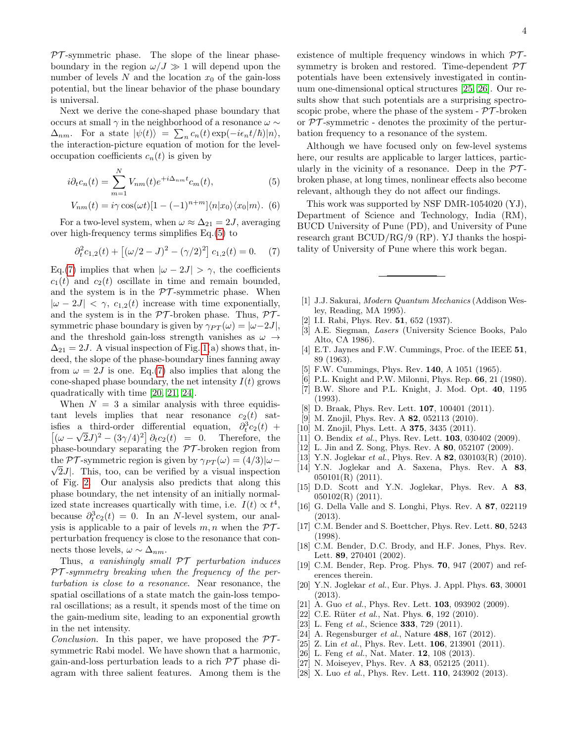$PT$ -symmetric phase. The slope of the linear phaseboundary in the region  $\omega/J \gg 1$  will depend upon the number of levels  $N$  and the location  $x_0$  of the gain-loss potential, but the linear behavior of the phase boundary is universal.

Next we derive the cone-shaped phase boundary that occurs at small  $\gamma$  in the neighborhood of a resonance  $\omega \sim$  $\Delta_{nm}$ . For a state  $|\psi(t)\rangle = \sum_{n} c_n(t) \exp(-i\epsilon_n t/\hbar)|n\rangle$ , the interaction-picture equation of motion for the leveloccupation coefficients  $c_n(t)$  is given by

<span id="page-3-21"></span>
$$
i\partial_t c_n(t) = \sum_{m=1}^N V_{nm}(t)e^{+i\Delta_{nm}t}c_m(t),\tag{5}
$$

$$
V_{nm}(t) = i\gamma \cos(\omega t)[1 - (-1)^{n+m}]\langle n|x_0\rangle\langle x_0|m\rangle. \tag{6}
$$

For a two-level system, when  $\omega \approx \Delta_{21} = 2J$ , averaging over high-frequency terms simplifies Eq.[\(5\)](#page-3-21) to

<span id="page-3-22"></span>
$$
\partial_t^2 c_{1,2}(t) + [(\omega/2 - J)^2 - (\gamma/2)^2] c_{1,2}(t) = 0. \tag{7}
$$

Eq.[\(7\)](#page-3-22) implies that when  $|\omega - 2J| > \gamma$ , the coefficients  $c_1(t)$  and  $c_2(t)$  oscillate in time and remain bounded, and the system is in the  $\mathcal{PT}\text{-symmetric}$  phase. When  $|\omega - 2J| < \gamma$ ,  $c_{1,2}(t)$  increase with time exponentially, and the system is in the  $\mathcal{PT}$ -broken phase. Thus,  $\mathcal{PT}$ symmetric phase boundary is given by  $\gamma_{PT}(\omega) = |\omega - 2J|$ , and the threshold gain-loss strength vanishes as  $\omega \rightarrow$  $\Delta_{21} = 2J$ . A visual inspection of Fig. [1\(](#page-1-1)a) shows that, indeed, the slope of the phase-boundary lines fanning away from  $\omega = 2J$  is one. Eq.[\(7\)](#page-3-22) also implies that along the cone-shaped phase boundary, the net intensity  $I(t)$  grows quadratically with time [\[20,](#page-3-12) [21,](#page-3-13) [24\]](#page-3-15).

When  $N = 3$  a similar analysis with three equidistant levels implies that near resonance  $c_2(t)$  satisfies a third-order differential equation,  $\partial_t^3 c_2(t) +$  $\left[ (\omega - \sqrt{2}J)^2 - (3\gamma/4)^2 \right] \partial_t c_2(t) = 0.$  Therefore, the phase-boundary separating the  $\mathcal{PT}$ -broken region from the PT-symmetric region is given by  $\gamma_{PT}(\omega) = (4/3)|\omega \sqrt{2J}$ . This, too, can be verified by a visual inspection of Fig. [2.](#page-2-0) Our analysis also predicts that along this phase boundary, the net intensity of an initially normalized state increases quartically with time, i.e.  $I(t) \propto t^4$ , because  $\partial_t^3 c_2(t) = 0$ . In an N-level system, our analysis is applicable to a pair of levels  $m, n$  when the  $\mathcal{PT}$ perturbation frequency is close to the resonance that connects those levels,  $\omega \sim \Delta_{nm}$ .

Thus, a vanishingly small  $\mathcal{PT}$  perturbation induces PT -symmetry breaking when the frequency of the perturbation is close to a resonance. Near resonance, the spatial oscillations of a state match the gain-loss temporal oscillations; as a result, it spends most of the time on the gain-medium site, leading to an exponential growth in the net intensity.

Conclusion. In this paper, we have proposed the  $\mathcal{PT}$ symmetric Rabi model. We have shown that a harmonic, gain-and-loss perturbation leads to a rich  $\mathcal{PT}$  phase diagram with three salient features. Among them is the existence of multiple frequency windows in which  $\mathcal{PT}$ symmetry is broken and restored. Time-dependent  $\mathcal{PT}$ potentials have been extensively investigated in continuum one-dimensional optical structures [\[25,](#page-3-16) [26\]](#page-3-17). Our results show that such potentials are a surprising spectroscopic probe, where the phase of the system -  $\mathcal{PT}$ -broken or  $\mathcal{PT}$ -symmetric - denotes the proximity of the perturbation frequency to a resonance of the system.

Although we have focused only on few-level systems here, our results are applicable to larger lattices, particularly in the vicinity of a resonance. Deep in the  $\mathcal{PT}$ broken phase, at long times, nonlinear effects also become relevant, although they do not affect our findings.

This work was supported by NSF DMR-1054020 (YJ), Department of Science and Technology, India (RM), BUCD University of Pune (PD), and University of Pune research grant BCUD/RG/9 (RP). YJ thanks the hospitality of University of Pune where this work began.

- <span id="page-3-0"></span>[1] J.J. Sakurai, Modern Quantum Mechanics (Addison Wesley, Reading, MA 1995).
- <span id="page-3-1"></span>[2] I.I. Rabi, Phys. Rev. **51**, 652 (1937).
- <span id="page-3-2"></span>[3] A.E. Siegman, Lasers (University Science Books, Palo Alto, CA 1986).
- <span id="page-3-3"></span>[4] E.T. Jaynes and F.W. Cummings, Proc. of the IEEE 51, 89 (1963).
- <span id="page-3-4"></span>[5] F.W. Cummings, Phys. Rev. 140, A 1051 (1965).
- <span id="page-3-5"></span>[6] P.L. Knight and P.W. Milonni, Phys. Rep. 66, 21 (1980).
- <span id="page-3-6"></span>[7] B.W. Shore and P.L. Knight, J. Mod. Opt. 40, 1195 (1993).
- <span id="page-3-7"></span>[8] D. Braak, Phys. Rev. Lett. **107**, 100401 (2011).
- <span id="page-3-8"></span>[9] M. Znojil, Phys. Rev. A **82**, 052113 (2010).
- [10] M. Znojil, Phys. Lett. A **375**, 3435 (2011).
- [11] O. Bendix et al., Phys. Rev. Lett. **103**, 030402 (2009).
- [12] L. Jin and Z. Song, Phys. Rev. A 80, 052107 (2009).
- [13] Y.N. Joglekar et al., Phys. Rev. A  $82$ , 030103(R) (2010).
- [14] Y.N. Joglekar and A. Saxena, Phys. Rev. A 83, 050101(R) (2011).
- [15] D.D. Scott and Y.N. Joglekar, Phys. Rev. A 83, 050102(R) (2011).
- <span id="page-3-9"></span>[16] G. Della Valle and S. Longhi, Phys. Rev. A 87, 022119 (2013).
- <span id="page-3-10"></span>[17] C.M. Bender and S. Boettcher, Phys. Rev. Lett. 80, 5243 (1998).
- [18] C.M. Bender, D.C. Brody, and H.F. Jones, Phys. Rev. Lett. 89, 270401 (2002).
- <span id="page-3-11"></span>[19] C.M. Bender, Rep. Prog. Phys. 70, 947 (2007) and references therein.
- <span id="page-3-12"></span>[20] Y.N. Joglekar et al., Eur. Phys. J. Appl. Phys. 63, 30001 (2013).
- <span id="page-3-13"></span>[21] A. Guo et al., Phys. Rev. Lett. **103**, 093902 (2009).
- <span id="page-3-19"></span>[22] C.E. Rüter *et al.*, Nat. Phys. 6, 192 (2010).
- <span id="page-3-14"></span>[23] L. Feng et al., Science **333**, 729 (2011).
- <span id="page-3-15"></span>[24] A. Regensburger *et al.*, Nature  $488$ , 167 (2012).
- <span id="page-3-16"></span>[25] Z. Lin et al., Phys. Rev. Lett.  $106$ ,  $213901$  (2011).
- <span id="page-3-17"></span>[26] L. Feng et al., Nat. Mater. 12, 108 (2013).
- <span id="page-3-18"></span>[27] N. Moiseyev, Phys. Rev. A 83, 052125 (2011).
- <span id="page-3-20"></span>[28] X. Luo *et al.*, Phys. Rev. Lett. **110**, 243902 (2013).